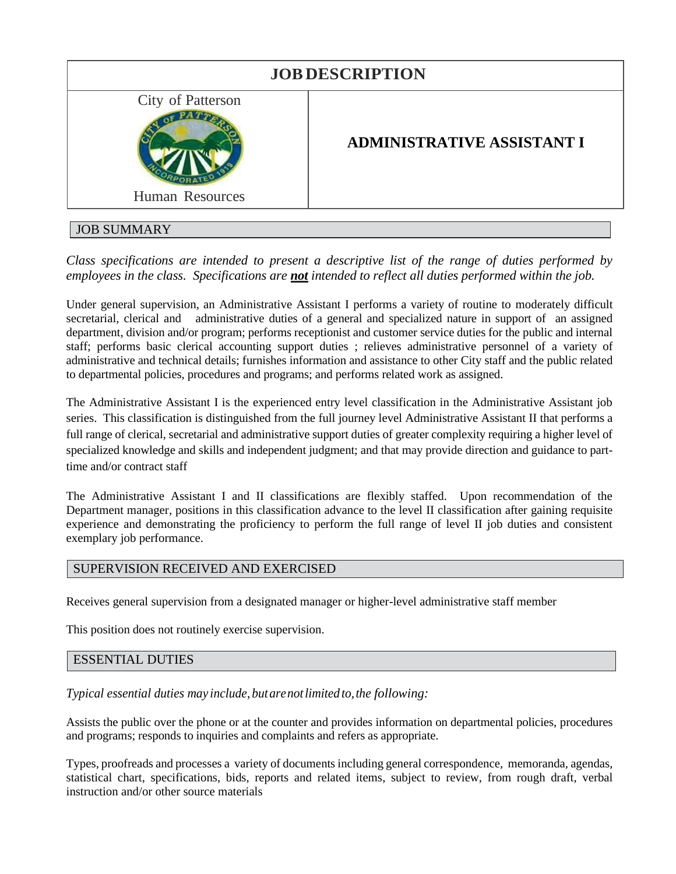| <b>JOB DESCRIPTION</b>               |                                   |
|--------------------------------------|-----------------------------------|
| City of Patterson<br>Human Resources | <b>ADMINISTRATIVE ASSISTANT I</b> |
| <b>JOB SUMMARY</b>                   |                                   |

# *Class specifications are intended to present a descriptive list of the range of duties performed by employees in the class. Specifications are not intended to reflect all duties performed within the job.*

Under general supervision, an Administrative Assistant I performs a variety of routine to moderately difficult secretarial, clerical and administrative duties of a general and specialized nature in support of an assigned department, division and/or program; performs receptionist and customer service duties for the public and internal staff; performs basic clerical accounting support duties ; relieves administrative personnel of a variety of administrative and technical details; furnishes information and assistance to other City staff and the public related to departmental policies, procedures and programs; and performs related work as assigned.

The Administrative Assistant I is the experienced entry level classification in the Administrative Assistant job series. This classification is distinguished from the full journey level Administrative Assistant II that performs a full range of clerical, secretarial and administrative support duties of greater complexity requiring a higher level of specialized knowledge and skills and independent judgment; and that may provide direction and guidance to parttime and/or contract staff

The Administrative Assistant I and II classifications are flexibly staffed. Upon recommendation of the Department manager, positions in this classification advance to the level II classification after gaining requisite experience and demonstrating the proficiency to perform the full range of level II job duties and consistent exemplary job performance.

## SUPERVISION RECEIVED AND EXERCISED

Receives general supervision from a designated manager or higher-level administrative staff member

This position does not routinely exercise supervision.

### ESSENTIAL DUTIES

*Typical essential duties may include, butarenotlimited to,the following:*

Assists the public over the phone or at the counter and provides information on departmental policies, procedures and programs; responds to inquiries and complaints and refers as appropriate.

Types, proofreads and processes a variety of documents including general correspondence, memoranda, agendas, statistical chart, specifications, bids, reports and related items, subject to review, from rough draft, verbal instruction and/or other source materials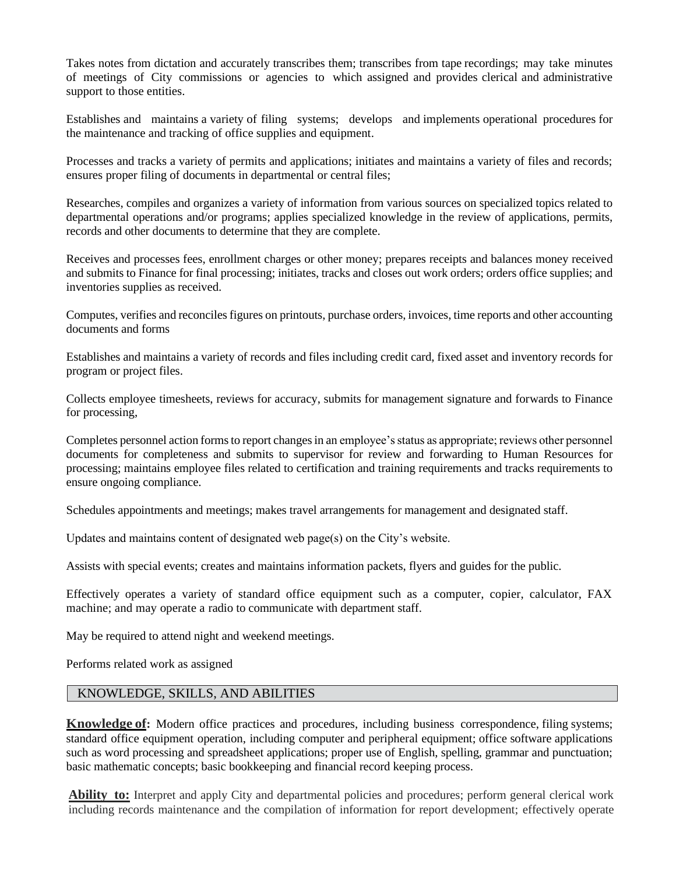Takes notes from dictation and accurately transcribes them; transcribes from tape recordings; may take minutes of meetings of City commissions or agencies to which assigned and provides clerical and administrative support to those entities.

Establishes and maintains a variety of filing systems; develops and implements operational procedures for the maintenance and tracking of office supplies and equipment.

Processes and tracks a variety of permits and applications; initiates and maintains a variety of files and records; ensures proper filing of documents in departmental or central files;

Researches, compiles and organizes a variety of information from various sources on specialized topics related to departmental operations and/or programs; applies specialized knowledge in the review of applications, permits, records and other documents to determine that they are complete.

Receives and processes fees, enrollment charges or other money; prepares receipts and balances money received and submits to Finance for final processing; initiates, tracks and closes out work orders; orders office supplies; and inventories supplies as received.

Computes, verifies and reconciles figures on printouts, purchase orders, invoices, time reports and other accounting documents and forms

Establishes and maintains a variety of records and files including credit card, fixed asset and inventory records for program or project files.

Collects employee timesheets, reviews for accuracy, submits for management signature and forwards to Finance for processing,

Completes personnel action forms to report changes in an employee's status as appropriate; reviews other personnel documents for completeness and submits to supervisor for review and forwarding to Human Resources for processing; maintains employee files related to certification and training requirements and tracks requirements to ensure ongoing compliance.

Schedules appointments and meetings; makes travel arrangements for management and designated staff.

Updates and maintains content of designated web page(s) on the City's website.

Assists with special events; creates and maintains information packets, flyers and guides for the public.

Effectively operates a variety of standard office equipment such as a computer, copier, calculator, FAX machine; and may operate a radio to communicate with department staff.

May be required to attend night and weekend meetings.

Performs related work as assigned

#### KNOWLEDGE, SKILLS, AND ABILITIES

**Knowledge of:** Modern office practices and procedures, including business correspondence, filing systems; standard office equipment operation, including computer and peripheral equipment; office software applications such as word processing and spreadsheet applications; proper use of English, spelling, grammar and punctuation; basic mathematic concepts; basic bookkeeping and financial record keeping process.

**Ability to:** Interpret and apply City and departmental policies and procedures; perform general clerical work including records maintenance and the compilation of information for report development; effectively operate